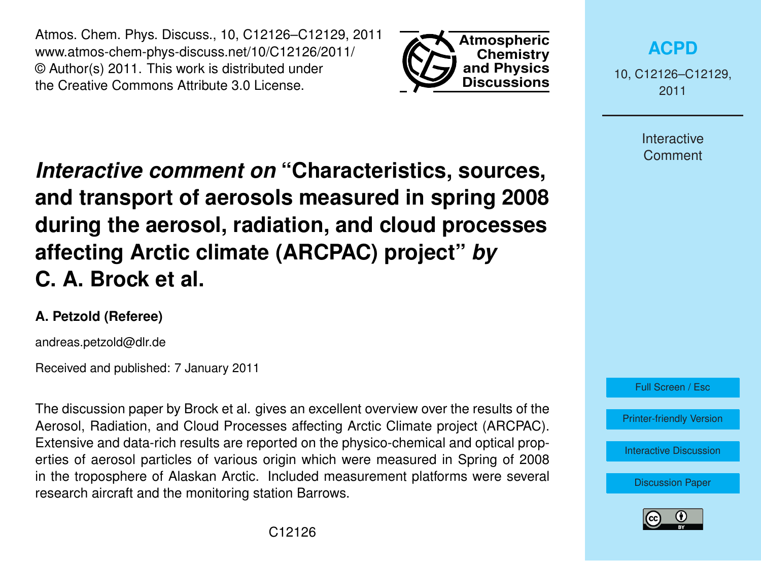Atmos. Chem. Phys. Discuss., 10, C12126–C12129, 2011 www.atmos-chem-phys-discuss.net/10/C12126/2011/ © Author(s) 2011. This work is distributed under the Creative Commons Attribute 3.0 License.



**[ACPD](http://www.atmos-chem-phys-discuss.net)**

10, C12126–C12129, 2011

> Interactive **Comment**

*Interactive comment on* **"Characteristics, sources, and transport of aerosols measured in spring 2008 during the aerosol, radiation, and cloud processes affecting Arctic climate (ARCPAC) project"** *by* **C. A. Brock et al.**

## **A. Petzold (Referee)**

andreas.petzold@dlr.de

Received and published: 7 January 2011

The discussion paper by Brock et al. gives an excellent overview over the results of the Aerosol, Radiation, and Cloud Processes affecting Arctic Climate project (ARCPAC). Extensive and data-rich results are reported on the physico-chemical and optical properties of aerosol particles of various origin which were measured in Spring of 2008 in the troposphere of Alaskan Arctic. Included measurement platforms were several research aircraft and the monitoring station Barrows.



[Printer-friendly Version](http://www.atmos-chem-phys-discuss.net/10/C12126/2011/acpd-10-C12126-2011-print.pdf)

[Interactive Discussion](http://www.atmos-chem-phys-discuss.net/10/27361/2010/acpd-10-27361-2010-discussion.html)

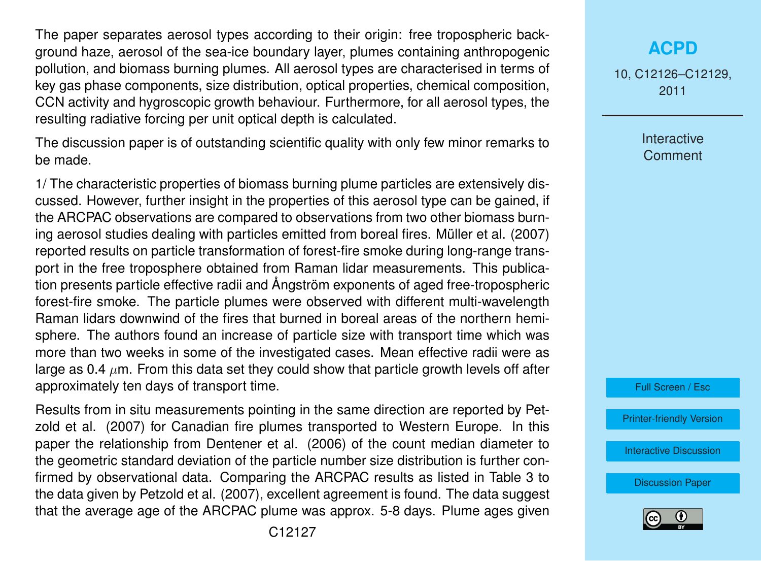The paper separates aerosol types according to their origin: free tropospheric background haze, aerosol of the sea-ice boundary layer, plumes containing anthropogenic pollution, and biomass burning plumes. All aerosol types are characterised in terms of key gas phase components, size distribution, optical properties, chemical composition, CCN activity and hygroscopic growth behaviour. Furthermore, for all aerosol types, the resulting radiative forcing per unit optical depth is calculated.

The discussion paper is of outstanding scientific quality with only few minor remarks to be made.

1/ The characteristic properties of biomass burning plume particles are extensively discussed. However, further insight in the properties of this aerosol type can be gained, if the ARCPAC observations are compared to observations from two other biomass burning aerosol studies dealing with particles emitted from boreal fires. Müller et al. (2007) reported results on particle transformation of forest-fire smoke during long-range transport in the free troposphere obtained from Raman lidar measurements. This publication presents particle effective radii and Ångström exponents of aged free-tropospheric forest-fire smoke. The particle plumes were observed with different multi-wavelength Raman lidars downwind of the fires that burned in boreal areas of the northern hemisphere. The authors found an increase of particle size with transport time which was more than two weeks in some of the investigated cases. Mean effective radii were as large as 0.4  $\mu$ m. From this data set they could show that particle growth levels off after approximately ten days of transport time.

Results from in situ measurements pointing in the same direction are reported by Petzold et al. (2007) for Canadian fire plumes transported to Western Europe. In this paper the relationship from Dentener et al. (2006) of the count median diameter to the geometric standard deviation of the particle number size distribution is further confirmed by observational data. Comparing the ARCPAC results as listed in Table 3 to the data given by Petzold et al. (2007), excellent agreement is found. The data suggest that the average age of the ARCPAC plume was approx. 5-8 days. Plume ages given

10, C12126–C12129, 2011

> Interactive **Comment**



[Printer-friendly Version](http://www.atmos-chem-phys-discuss.net/10/C12126/2011/acpd-10-C12126-2011-print.pdf)

[Interactive Discussion](http://www.atmos-chem-phys-discuss.net/10/27361/2010/acpd-10-27361-2010-discussion.html)

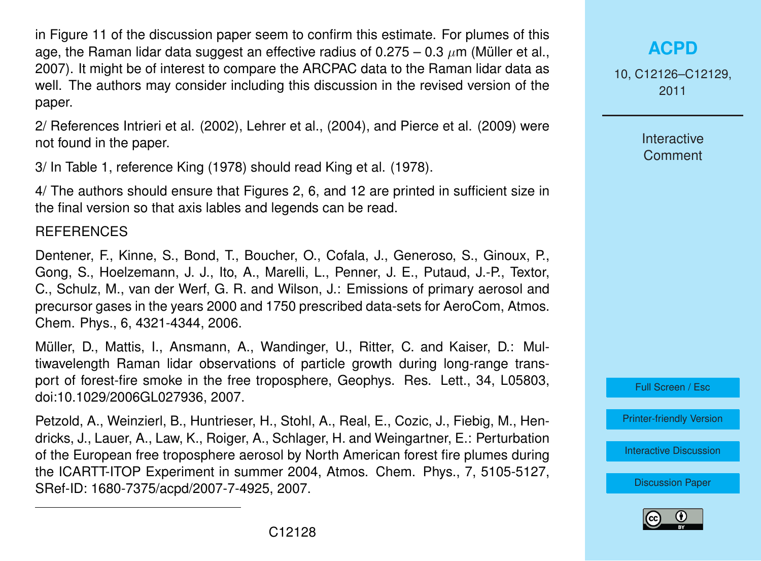in Figure 11 of the discussion paper seem to confirm this estimate. For plumes of this age, the Raman lidar data suggest an effective radius of 0.275 – 0.3  $\mu$ m (Müller et al., 2007). It might be of interest to compare the ARCPAC data to the Raman lidar data as well. The authors may consider including this discussion in the revised version of the paper.

2/ References Intrieri et al. (2002), Lehrer et al., (2004), and Pierce et al. (2009) were not found in the paper.

3/ In Table 1, reference King (1978) should read King et al. (1978).

4/ The authors should ensure that Figures 2, 6, and 12 are printed in sufficient size in the final version so that axis lables and legends can be read.

**REFERENCES** 

Dentener, F., Kinne, S., Bond, T., Boucher, O., Cofala, J., Generoso, S., Ginoux, P., Gong, S., Hoelzemann, J. J., Ito, A., Marelli, L., Penner, J. E., Putaud, J.-P., Textor, C., Schulz, M., van der Werf, G. R. and Wilson, J.: Emissions of primary aerosol and precursor gases in the years 2000 and 1750 prescribed data-sets for AeroCom, Atmos. Chem. Phys., 6, 4321-4344, 2006.

Müller, D., Mattis, I., Ansmann, A., Wandinger, U., Ritter, C. and Kaiser, D.: Multiwavelength Raman lidar observations of particle growth during long-range transport of forest-fire smoke in the free troposphere, Geophys. Res. Lett., 34, L05803, doi:10.1029/2006GL027936, 2007.

Petzold, A., Weinzierl, B., Huntrieser, H., Stohl, A., Real, E., Cozic, J., Fiebig, M., Hendricks, J., Lauer, A., Law, K., Roiger, A., Schlager, H. and Weingartner, E.: Perturbation of the European free troposphere aerosol by North American forest fire plumes during the ICARTT-ITOP Experiment in summer 2004, Atmos. Chem. Phys., 7, 5105-5127, SRef-ID: 1680-7375/acpd/2007-7-4925, 2007.

10, C12126–C12129, 2011

> Interactive **Comment**



[Printer-friendly Version](http://www.atmos-chem-phys-discuss.net/10/C12126/2011/acpd-10-C12126-2011-print.pdf)

[Interactive Discussion](http://www.atmos-chem-phys-discuss.net/10/27361/2010/acpd-10-27361-2010-discussion.html)